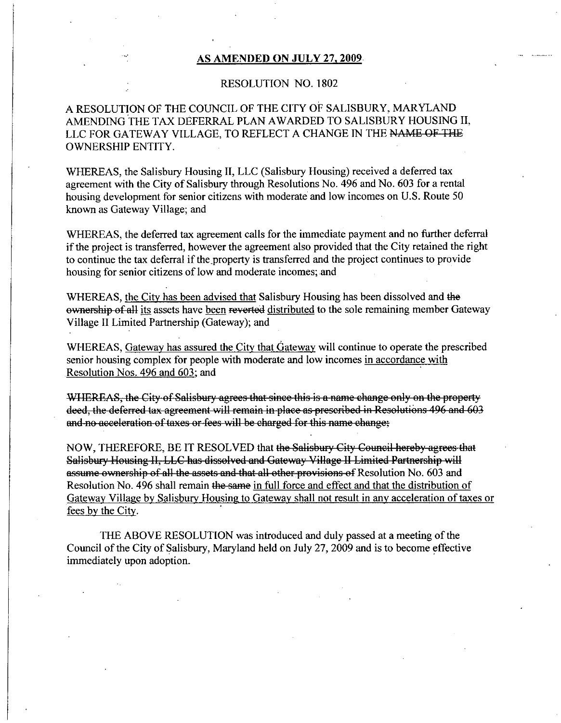#### AS AMENDED ON JULY 27, 2009.

### RESOLUTION NO. 1802

## ARESOLUTION OF THE COUNCIL OF THE CITY OF SALISBURY MARYLAND AMENDING THE TAX DEFERRAL PLAN AWARDED TO SALISBURY HOUSING II A RESOLUTION OF THE COUNCIL OF THE CITY OF SALISBURY, MARYLAND<br>AMENDING THE TAX DEFERRAL PLAN AWARDED TO SALISBURY HOUSING I<br>LLC FOR GATEWAY VILLAGE, TO REFLECT A CHANGE IN THE <del>NAME OF THE</del><br>OWNERSHIP ENTITY OWNERSHIP ENTITY

WHEREAS, the Salisbury Housing II, LLC (Salisbury Housing) received a deferred tax agreement with the City of Salisbury through Resolutions No. 496 and No. 603 for a rental housing development for senior citizens with moderate and low incomes on U.S. Route 50 known as Gateway Village; and

WHEREAS, the deferred tax agreement calls for the immediate payment and no further deferral wHEKEAS, the deferred tax agreement calls for the immediate payment and no further deferral if the project is transferred and the city retained the right to continue the tax deferral if the property is transferred and the to continue the tax deferral if the property is transferred and the project continues to provide housing for senior citizens of low and moderate incomes; and known as Gateway Village; and<br>WHEREAS, the deferred tax agreement calls for the immediate payment and no further deferral<br>if the project is transferred, however the agreement also provided that the City retained the right<br>

WHEREAS, the City has been advised that Salisbury Housing has been dissolved and the ownership of all its assets have been reverted distributed to the sole remaining member Gateway Village II Limited Partnership (Gateway); and

WHEREAS, Gateway has assured the City that Gateway will continue to operate the prescribed senior housing complex for people with moderate and low incomes in accordance with Resolution Nos. 496 and 603; and

WHEREAS, the City of Salisbury agrees that since this is a name change only on the property deed, the deferred tax agreement will remain in place as prescribed in Resolutions 496 and 603 and no acceleration of taxes or fee

NOW, THEREFORE, BE IT RESOLVED that the Salisbury City Council hereby agrees that Salisbury Housing II, LLC has dissolved and Gateway Village II Limited Partnership will assume ownership of all the assets and that all other provisions of Resolution No. 603 and<br>Resolution No. 496 shall remain the same in full force and effect and that the distribution of Gateway Village by Salisbury Housing to Gateway shall not result in any acceleration of taxes or fees by the Cit

THE ABOVE RESOLUTION was introduced and duly passed at a meeting of the Council of the City of Salisbury, Maryland held on July 27, 2009 and is to become effective immediately upon adoption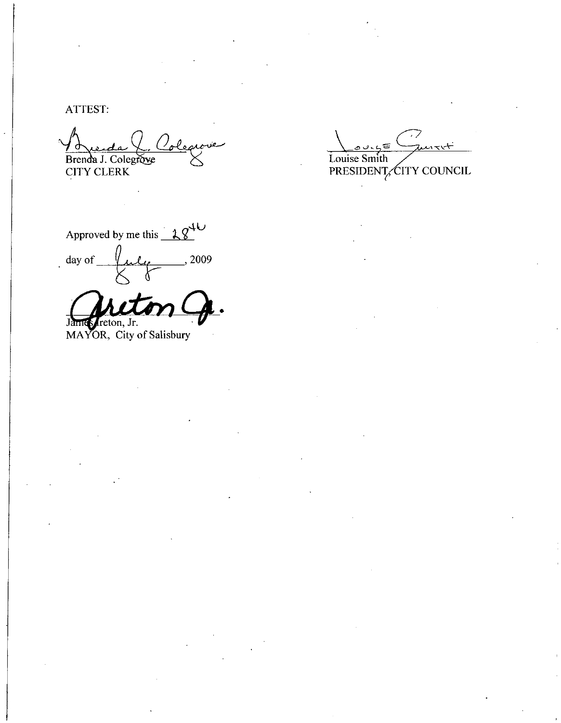ATTEST

Bren T:<br>Ada ()<br>J. Colegrove<br>LERK

CITY CLERK

Approved by me this  $28^{40}$  $\frac{dy}{dx}$  day of  $\frac{du}{dx}$ , 2009

James reton, Jr.

MAYOR, City of Salisbury

 $4.55$ Louise Smith PRESIDENT CITY COUNCIL